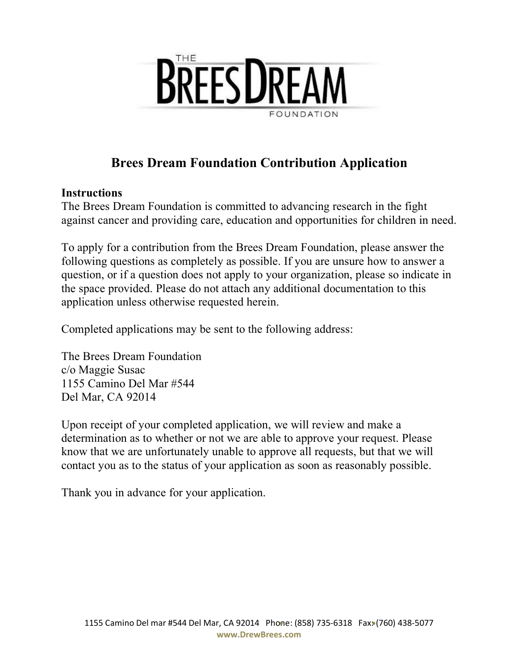

# **Brees Dream Foundation Contribution Application**

# **Instructions**

The Brees Dream Foundation is committed to advancing research in the fight against cancer and providing care, education and opportunities for children in need.

To apply for a contribution from the Brees Dream Foundation, please answer the following questions as completely as possible. If you are unsure how to answer a question, or if a question does not apply to your organization, please so indicate in the space provided. Please do not attach any additional documentation to this application unless otherwise requested herein.

Completed applications may be sent to the following address:

The Brees Dream Foundation c/o Maggie Susac 1155 Camino Del Mar #544 Del Mar, CA 92014

Upon receipt of your completed application, we will review and make a determination as to whether or not we are able to approve your request. Please know that we are unfortunately unable to approve all requests, but that we will contact you as to the status of your application as soon as reasonably possible.

Thank you in advance for your application.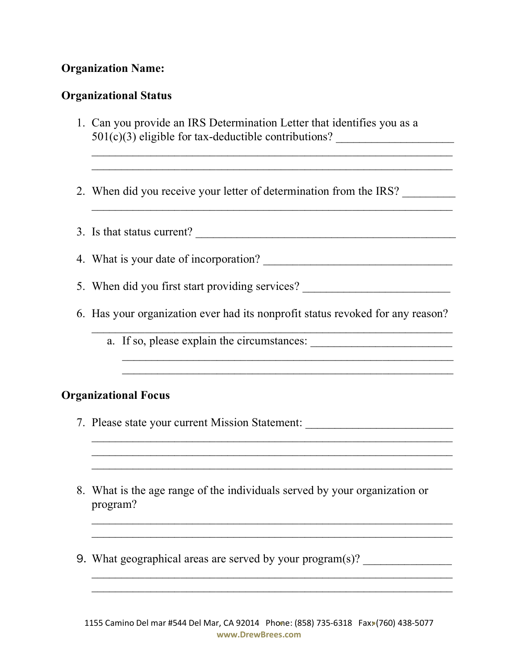# **Organization Name:**

### **Organizational Status**

- 1. Can you provide an IRS Determination Letter that identifies you as a  $501(c)(3)$  eligible for tax-deductible contributions?
- 2. When did you receive your letter of determination from the IRS?
- 3. Is that status current?

 $\mathcal{L}_\text{max}$  and the contract of the contract of the contract of the contract of the contract of the contract of

- 4. What is your date of incorporation?
- 5. When did you first start providing services? \_\_\_\_\_\_\_\_\_\_\_\_\_\_\_\_\_\_\_\_\_\_\_\_\_\_\_\_\_\_\_\_
- 6. Has your organization ever had its nonprofit status revoked for any reason?

 $\mathcal{L}_\text{max}$  , and the contract of the contract of the contract of the contract of the contract of the contract of the contract of the contract of the contract of the contract of the contract of the contract of the contr

 $\mathcal{L}_\text{max}$  , and the contract of the contract of the contract of the contract of the contract of the contract of the contract of the contract of the contract of the contract of the contract of the contract of the contr

 $\mathcal{L}_\text{max}$  and the contract of the contract of the contract of the contract of the contract of the contract of

 $\mathcal{L}_\text{max}$  , and the contract of the contract of the contract of the contract of the contract of the contract of the contract of the contract of the contract of the contract of the contract of the contract of the contr

a. If so, please explain the circumstances: \_\_\_\_\_\_\_\_\_\_\_\_\_\_\_\_\_\_\_\_\_\_\_\_

#### **Organizational Focus**

- 7. Please state your current Mission Statement:
- 8. What is the age range of the individuals served by your organization or program?
- 9. What geographical areas are served by your program $(s)$ ?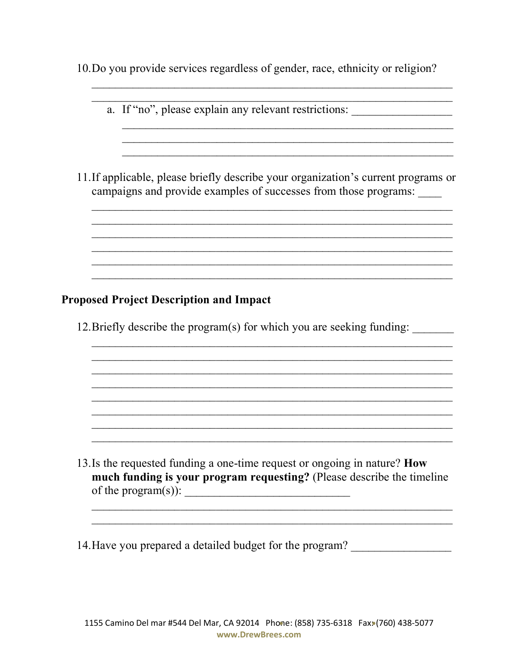10. Do you provide services regardless of gender, race, ethnicity or religion?

| a. If "no", please explain any relevant restrictions:                                                                                                  |  |  |
|--------------------------------------------------------------------------------------------------------------------------------------------------------|--|--|
|                                                                                                                                                        |  |  |
| 11. If applicable, please briefly describe your organization's current programs or<br>campaigns and provide examples of successes from those programs: |  |  |
|                                                                                                                                                        |  |  |
| <b>Proposed Project Description and Impact</b>                                                                                                         |  |  |
| 12. Briefly describe the program(s) for which you are seeking funding:                                                                                 |  |  |
|                                                                                                                                                        |  |  |
|                                                                                                                                                        |  |  |
|                                                                                                                                                        |  |  |

13. Is the requested funding a one-time request or ongoing in nature? How much funding is your program requesting? (Please describe the timeline of the program(s)):  $\qquad \qquad$ 

14. Have you prepared a detailed budget for the program?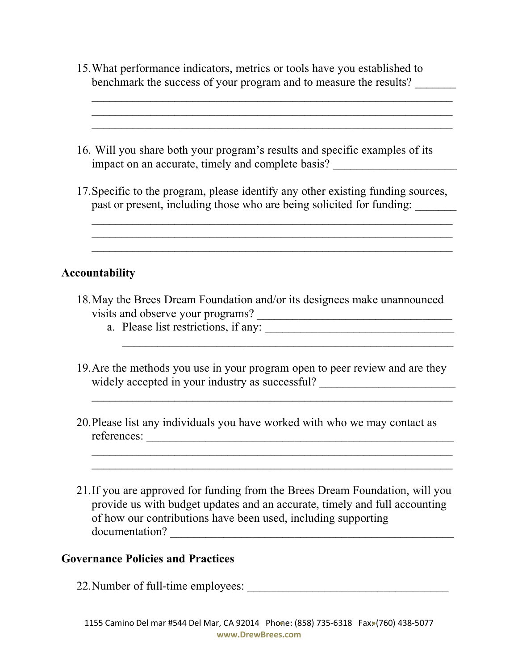15.What performance indicators, metrics or tools have you established to benchmark the success of your program and to measure the results? \_\_\_\_\_\_\_

\_\_\_\_\_\_\_\_\_\_\_\_\_\_\_\_\_\_\_\_\_\_\_\_\_\_\_\_\_\_\_\_\_\_\_\_\_\_\_\_\_\_\_\_\_\_\_\_\_\_\_\_\_\_\_\_\_\_\_\_\_

 $\mathcal{L}_\text{max}$  , and the contract of the contract of the contract of the contract of the contract of the contract of the contract of the contract of the contract of the contract of the contract of the contract of the contr

- 16. Will you share both your program's results and specific examples of its impact on an accurate, timely and complete basis?
- 17.Specific to the program, please identify any other existing funding sources, past or present, including those who are being solicited for funding: \_\_\_\_\_\_\_\_\_\_

 $\mathcal{L}_\text{max}$  , and the contract of the contract of the contract of the contract of the contract of the contract of the contract of the contract of the contract of the contract of the contract of the contract of the contr

### **Accountability**

- 18.May the Brees Dream Foundation and/or its designees make unannounced visits and observe your programs? \_\_\_\_\_\_\_\_\_\_\_\_\_\_\_\_\_\_\_\_\_\_\_\_\_\_\_\_\_\_\_\_\_
	- a. Please list restrictions, if any: \_\_\_\_\_\_\_\_\_\_\_\_\_\_\_\_\_\_\_\_\_\_\_\_\_\_\_\_\_\_\_\_

\_\_\_\_\_\_\_\_\_\_\_\_\_\_\_\_\_\_\_\_\_\_\_\_\_\_\_\_\_\_\_\_\_\_\_\_\_\_\_\_\_\_\_\_\_\_\_\_\_\_\_\_\_\_\_\_\_\_\_\_\_

19.Are the methods you use in your program open to peer review and are they widely accepted in your industry as successful? \_\_\_\_\_\_\_\_\_\_\_\_\_\_\_\_\_\_\_\_\_\_\_\_\_\_\_\_\_\_\_\_

 $\mathcal{L}_\text{max}$  and the contract of the contract of the contract of the contract of the contract of the contract of

- 20.Please list any individuals you have worked with who we may contact as references: \_\_\_\_\_\_\_\_\_\_\_\_\_\_\_\_\_\_\_\_\_\_\_\_\_\_\_\_\_\_\_\_\_\_\_\_\_\_\_\_\_\_\_\_\_\_\_\_\_\_\_\_
- 21.If you are approved for funding from the Brees Dream Foundation, will you provide us with budget updates and an accurate, timely and full accounting of how our contributions have been used, including supporting documentation? \_\_\_\_\_\_\_\_\_\_\_\_\_\_\_\_\_\_\_\_\_\_\_\_\_\_\_\_\_\_\_\_\_\_\_\_\_\_\_\_\_\_\_\_\_\_\_\_

 $\mathcal{L}_\text{max}$  and the contract of the contract of the contract of the contract of the contract of the contract of

#### **Governance Policies and Practices**

22. Number of full-time employees: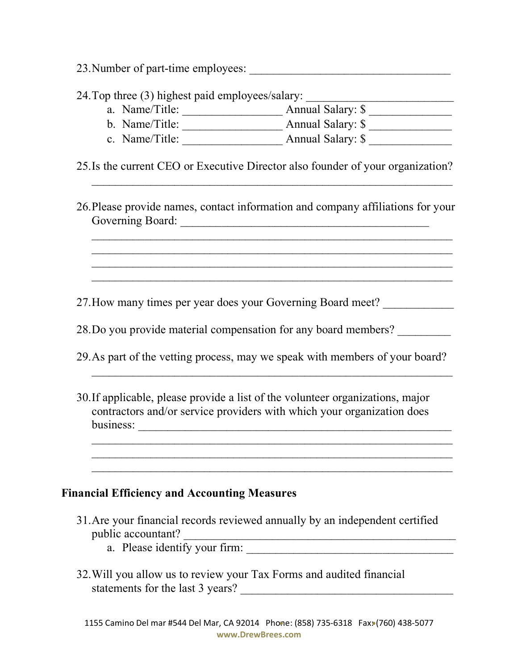23. Number of part-time employees:

24. Top three (3) highest paid employees/salary:

- a. Name/Title: \_\_\_\_\_\_\_\_\_\_\_\_\_\_\_\_\_ Annual Salary: \$ \_\_\_\_\_\_\_\_\_\_\_\_\_\_
- b. Name/Title: \_\_\_\_\_\_\_\_\_\_\_\_\_\_\_\_\_ Annual Salary: \$ \_\_\_\_\_\_\_\_\_\_\_\_\_\_
- c. Name/Title: \_\_\_\_\_\_\_\_\_\_\_\_\_\_\_\_\_ Annual Salary: \$ \_\_\_\_\_\_\_\_\_\_\_\_\_\_
- 25.Is the current CEO or Executive Director also founder of your organization?

 $\mathcal{L}_\text{max}$  and the contract of the contract of the contract of the contract of the contract of the contract of

26.Please provide names, contact information and company affiliations for your Governing Board: \_\_\_\_\_\_\_\_\_\_\_\_\_\_\_\_\_\_\_\_\_\_\_\_\_\_\_\_\_\_\_\_\_\_\_\_\_\_\_\_\_\_

 $\mathcal{L}_\text{max}$  , and the contract of the contract of the contract of the contract of the contract of the contract of the contract of the contract of the contract of the contract of the contract of the contract of the contr  $\mathcal{L}_\text{max}$  , and the contract of the contract of the contract of the contract of the contract of the contract of the contract of the contract of the contract of the contract of the contract of the contract of the contr  $\mathcal{L}_\text{max}$  , and the contract of the contract of the contract of the contract of the contract of the contract of the contract of the contract of the contract of the contract of the contract of the contract of the contr  $\mathcal{L}_\text{max}$  and the contract of the contract of the contract of the contract of the contract of the contract of

27. How many times per year does your Governing Board meet?

28. Do you provide material compensation for any board members?

- 29.As part of the vetting process, may we speak with members of your board?
- 30.If applicable, please provide a list of the volunteer organizations, major contractors and/or service providers with which your organization does business:

 $\mathcal{L}_\text{max}$  , and the contract of the contract of the contract of the contract of the contract of the contract of the contract of the contract of the contract of the contract of the contract of the contract of the contr  $\mathcal{L}_\text{max}$  , and the contract of the contract of the contract of the contract of the contract of the contract of the contract of the contract of the contract of the contract of the contract of the contract of the contr

 $\_$  ,  $\_$  ,  $\_$  ,  $\_$  ,  $\_$  ,  $\_$  ,  $\_$  ,  $\_$  ,  $\_$  ,  $\_$  ,  $\_$  ,  $\_$  ,  $\_$  ,  $\_$  ,  $\_$  ,  $\_$  ,  $\_$  ,  $\_$ 

### **Financial Efficiency and Accounting Measures**

- 31.Are your financial records reviewed annually by an independent certified public accountant?
	- a. Please identify your firm:
- 32.Will you allow us to review your Tax Forms and audited financial statements for the last 3 years? \_\_\_\_\_\_\_\_\_\_\_\_\_\_\_\_\_\_\_\_\_\_\_\_\_\_\_\_\_\_\_\_\_\_\_\_